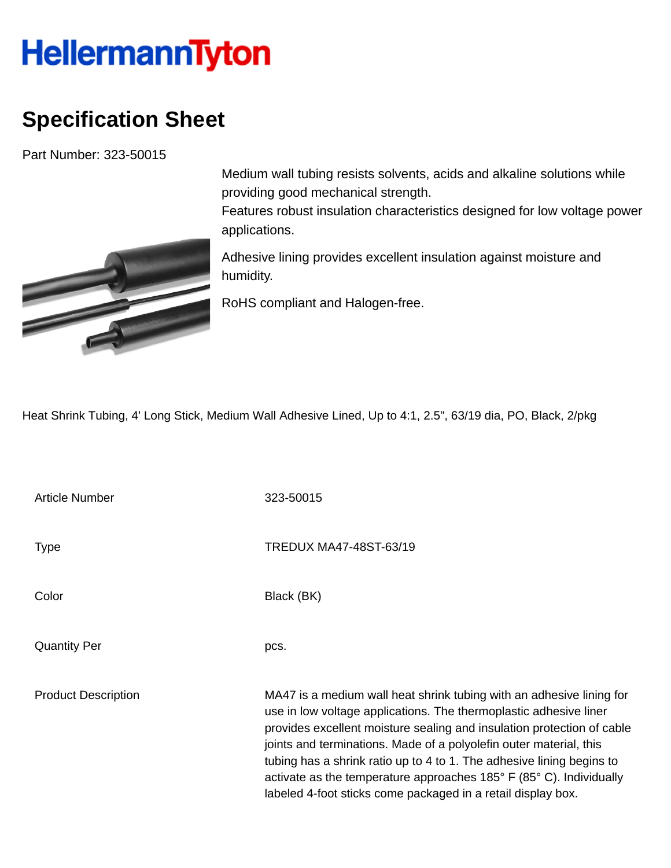## **HellermannTyton**

## **Specification Sheet**

Part Number: 323-50015



Medium wall tubing resists solvents, acids and alkaline solutions while providing good mechanical strength.

Features robust insulation characteristics designed for low voltage power applications.

Adhesive lining provides excellent insulation against moisture and humidity.

RoHS compliant and Halogen-free.

Heat Shrink Tubing, 4' Long Stick, Medium Wall Adhesive Lined, Up to 4:1, 2.5", 63/19 dia, PO, Black, 2/pkg

Article Number 323-50015 Type Type TREDUX MA47-48ST-63/19 Color Black (BK) Quantity Per pcs. Product Description MA47 is a medium wall heat shrink tubing with an adhesive lining for use in low voltage applications. The thermoplastic adhesive liner provides excellent moisture sealing and insulation protection of cable joints and terminations. Made of a polyolefin outer material, this tubing has a shrink ratio up to 4 to 1. The adhesive lining begins to activate as the temperature approaches 185° F (85° C). Individually labeled 4-foot sticks come packaged in a retail display box.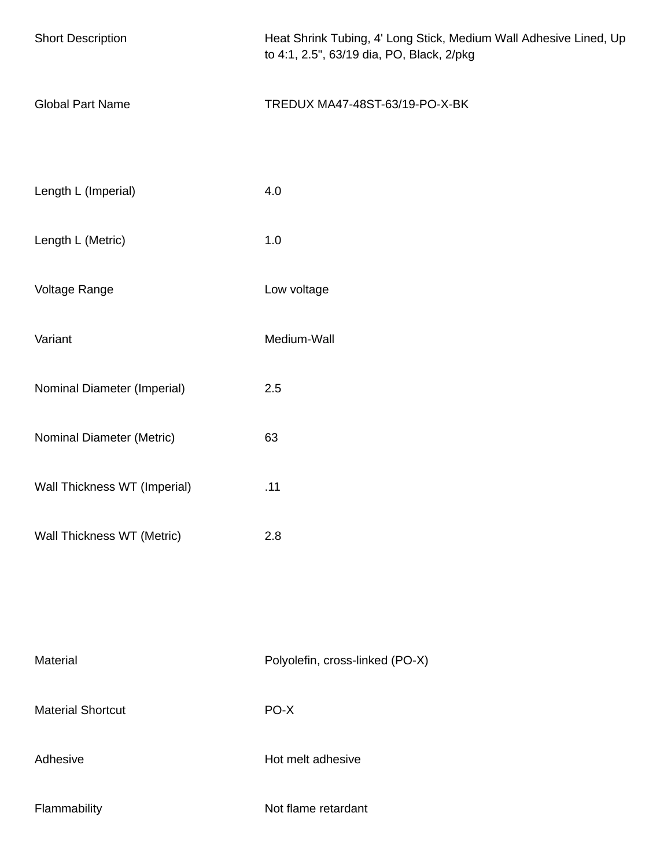| <b>Short Description</b>     | Heat Shrink Tubing, 4' Long Stick, Medium Wall Adhesive Lined, Up<br>to 4:1, 2.5", 63/19 dia, PO, Black, 2/pkg |  |
|------------------------------|----------------------------------------------------------------------------------------------------------------|--|
| <b>Global Part Name</b>      | TREDUX MA47-48ST-63/19-PO-X-BK                                                                                 |  |
| Length L (Imperial)          | 4.0                                                                                                            |  |
| Length L (Metric)            | 1.0                                                                                                            |  |
| Voltage Range                | Low voltage                                                                                                    |  |
| Variant                      | Medium-Wall                                                                                                    |  |
| Nominal Diameter (Imperial)  | 2.5                                                                                                            |  |
| Nominal Diameter (Metric)    | 63                                                                                                             |  |
| Wall Thickness WT (Imperial) | .11                                                                                                            |  |
| Wall Thickness WT (Metric)   | 2.8                                                                                                            |  |
|                              |                                                                                                                |  |
| Material                     | Polyolefin, cross-linked (PO-X)                                                                                |  |
| <b>Material Shortcut</b>     | PO-X                                                                                                           |  |
| Adhesive                     | Hot melt adhesive                                                                                              |  |
| Flammability                 | Not flame retardant                                                                                            |  |